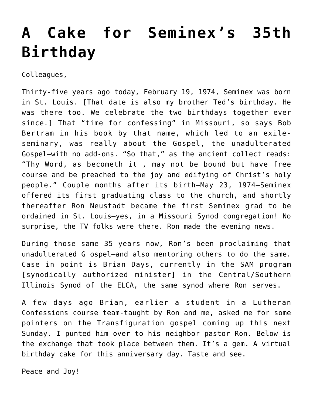## **[A Cake for Seminex's 35th](https://crossings.org/a-cake-for-seminexs-35th-birthday/) [Birthday](https://crossings.org/a-cake-for-seminexs-35th-birthday/)**

Colleagues,

Thirty-five years ago today, February 19, 1974, Seminex was born in St. Louis. [That date is also my brother Ted's birthday. He was there too. We celebrate the two birthdays together ever since.] That "time for confessing" in Missouri, so says Bob Bertram in his book by that name, which led to an exileseminary, was really about the Gospel, the unadulterated Gospel–with no add-ons. "So that," as the ancient collect reads: "Thy Word, as becometh it , may not be bound but have free course and be preached to the joy and edifying of Christ's holy people." Couple months after its birth–May 23, 1974–Seminex offered its first graduating class to the church, and shortly thereafter Ron Neustadt became the first Seminex grad to be ordained in St. Louis–yes, in a Missouri Synod congregation! No surprise, the TV folks were there. Ron made the evening news.

During those same 35 years now, Ron's been proclaiming that unadulterated G ospel–and also mentoring others to do the same. Case in point is Brian Days, currently in the SAM program [synodically authorized minister] in the Central/Southern Illinois Synod of the ELCA, the same synod where Ron serves.

A few days ago Brian, earlier a student in a Lutheran Confessions course team-taught by Ron and me, asked me for some pointers on the Transfiguration gospel coming up this next Sunday. I punted him over to his neighbor pastor Ron. Below is the exchange that took place between them. It's a gem. A virtual birthday cake for this anniversary day. Taste and see.

Peace and Joy!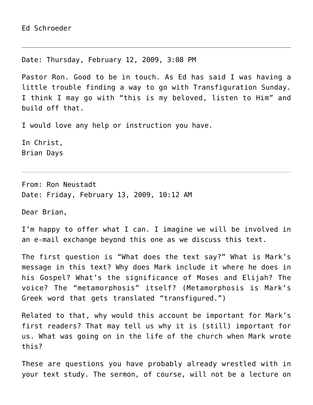Date: Thursday, February 12, 2009, 3:08 PM

Pastor Ron. Good to be in touch. As Ed has said I was having a little trouble finding a way to go with Transfiguration Sunday. I think I may go with "this is my beloved, listen to Him" and build off that.

I would love any help or instruction you have.

In Christ, Brian Days

From: Ron Neustadt Date: Friday, February 13, 2009, 10:12 AM

Dear Brian,

I'm happy to offer what I can. I imagine we will be involved in an e-mail exchange beyond this one as we discuss this text.

The first question is "What does the text say?" What is Mark's message in this text? Why does Mark include it where he does in his Gospel? What's the significance of Moses and Elijah? The voice? The "metamorphosis" itself? (Metamorphosis is Mark's Greek word that gets translated "transfigured.")

Related to that, why would this account be important for Mark's first readers? That may tell us why it is (still) important for us. What was going on in the life of the church when Mark wrote this?

These are questions you have probably already wrestled with in your text study. The sermon, of course, will not be a lecture on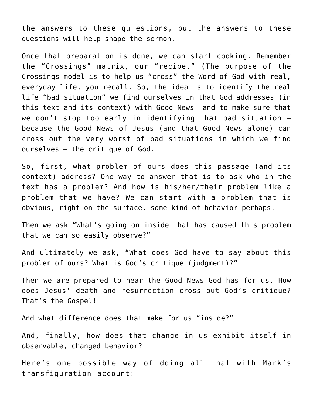the answers to these qu estions, but the answers to these questions will help shape the sermon.

Once that preparation is done, we can start cooking. Remember the "Crossings" matrix, our "recipe." (The purpose of the Crossings model is to help us "cross" the Word of God with real, everyday life, you recall. So, the idea is to identify the real life "bad situation" we find ourselves in that God addresses (in this text and its context) with Good News— and to make sure that we don't stop too early in identifying that bad situation because the Good News of Jesus (and that Good News alone) can cross out the very worst of bad situations in which we find ourselves — the critique of God.

So, first, what problem of ours does this passage (and its context) address? One way to answer that is to ask who in the text has a problem? And how is his/her/their problem like a problem that we have? We can start with a problem that is obvious, right on the surface, some kind of behavior perhaps.

Then we ask "What's going on inside that has caused this problem that we can so easily observe?"

And ultimately we ask, "What does God have to say about this problem of ours? What is God's critique (judgment)?"

Then we are prepared to hear the Good News God has for us. How does Jesus' death and resurrection cross out God's critique? That's the Gospel!

And what difference does that make for us "inside?"

And, finally, how does that change in us exhibit itself in observable, changed behavior?

Here's one possible way of doing all that with Mark's transfiguration account: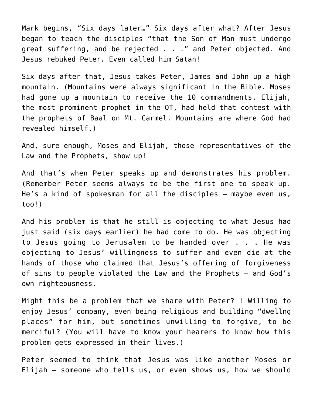Mark begins, "Six days later…" Six days after what? After Jesus began to teach the disciples "that the Son of Man must undergo great suffering, and be rejected . . ." and Peter objected. And Jesus rebuked Peter. Even called him Satan!

Six days after that, Jesus takes Peter, James and John up a high mountain. (Mountains were always significant in the Bible. Moses had gone up a mountain to receive the 10 commandments. Elijah, the most prominent prophet in the OT, had held that contest with the prophets of Baal on Mt. Carmel. Mountains are where God had revealed himself.)

And, sure enough, Moses and Elijah, those representatives of the Law and the Prophets, show up!

And that's when Peter speaks up and demonstrates his problem. (Remember Peter seems always to be the first one to speak up. He's a kind of spokesman for all the disciples — maybe even us, too!)

And his problem is that he still is objecting to what Jesus had just said (six days earlier) he had come to do. He was objecting to Jesus going to Jerusalem to be handed over . . . He was objecting to Jesus' willingness to suffer and even die at the hands of those who claimed that Jesus's offering of forgiveness of sins to people violated the Law and the Prophets — and God's own righteousness.

Might this be a problem that we share with Peter? ! Willing to enjoy Jesus' company, even being religious and building "dwellng places" for him, but sometimes unwilling to forgive, to be merciful? (You will have to know your hearers to know how this problem gets expressed in their lives.)

Peter seemed to think that Jesus was like another Moses or Elijah – someone who tells us, or even shows us, how we should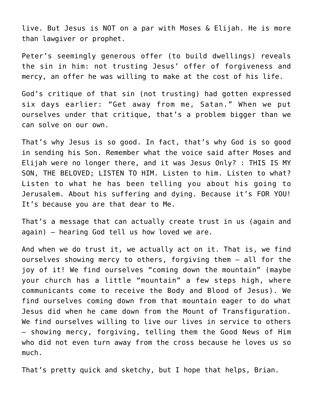live. But Jesus is NOT on a par with Moses & Elijah. He is more than lawgiver or prophet.

Peter's seemingly generous offer (to build dwellings) reveals the sin in him: not trusting Jesus' offer of forgiveness and mercy, an offer he was willing to make at the cost of his life.

God's critique of that sin (not trusting) had gotten expressed six days earlier: "Get away from me, Satan." When we put ourselves under that critique, that's a problem bigger than we can solve on our own.

That's why Jesus is so good. In fact, that's why God is so good in sending his Son. Remember what the voice said after Moses and Elijah were no longer there, and it was Jesus Only? : THIS IS MY SON, THE BELOVED; LISTEN TO HIM. Listen to him. Listen to what? Listen to what he has been telling you about his going to Jerusalem. About his suffering and dying. Because it's FOR YOU! It's because you are that dear to Me.

That's a message that can actually create trust in us (again and again) — hearing God tell us how loved we are.

And when we do trust it, we actually act on it. That is, we find ourselves showing mercy to others, forgiving them — all for the joy of it! We find ourselves "coming down the mountain" (maybe your church has a little "mountain" a few steps high, where communicants come to receive the Body and Blood of Jesus). We find ourselves coming down from that mountain eager to do what Jesus did when he came down from the Mount of Transfiguration. We find ourselves willing to live our lives in service to others — showing mercy, forgiving, telling them the Good News of Him who did not even turn away from the cross because he loves us so much.

That's pretty quick and sketchy, but I hope that helps, Brian.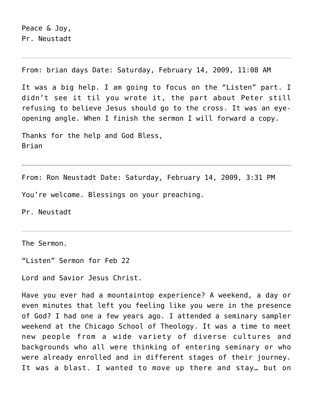From: brian days Date: Saturday, February 14, 2009, 11:08 AM

It was a big help. I am going to focus on the "Listen" part. I didn't see it til you wrote it, the part about Peter still refusing to believe Jesus should go to the cross. It was an eyeopening angle. When I finish the sermon I will forward a copy.

Thanks for the help and God Bless, Brian

From: Ron Neustadt Date: Saturday, February 14, 2009, 3:31 PM You're welcome. Blessings on your preaching.

Pr. Neustadt

The Sermon.

"Listen" Sermon for Feb 22

Lord and Savior Jesus Christ.

Have you ever had a mountaintop experience? A weekend, a day or even minutes that left you feeling like you were in the presence of God? I had one a few years ago. I attended a seminary sampler weekend at the Chicago School of Theology. It was a time to meet new people from a wide variety of diverse cultures and backgrounds who all were thinking of entering seminary or who were already enrolled and in different stages of their journey. It was a blast. I wanted to move up there and stay… but on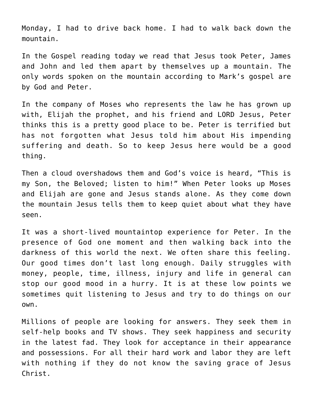Monday, I had to drive back home. I had to walk back down the mountain.

In the Gospel reading today we read that Jesus took Peter, James and John and led them apart by themselves up a mountain. The only words spoken on the mountain according to Mark's gospel are by God and Peter.

In the company of Moses who represents the law he has grown up with, Elijah the prophet, and his friend and LORD Jesus, Peter thinks this is a pretty good place to be. Peter is terrified but has not forgotten what Jesus told him about His impending suffering and death. So to keep Jesus here would be a good thing.

Then a cloud overshadows them and God's voice is heard, "This is my Son, the Beloved; listen to him!" When Peter looks up Moses and Elijah are gone and Jesus stands alone. As they come down the mountain Jesus tells them to keep quiet about what they have seen.

It was a short-lived mountaintop experience for Peter. In the presence of God one moment and then walking back into the darkness of this world the next. We often share this feeling. Our good times don't last long enough. Daily struggles with money, people, time, illness, injury and life in general can stop our good mood in a hurry. It is at these low points we sometimes quit listening to Jesus and try to do things on our own.

Millions of people are looking for answers. They seek them in self-help books and TV shows. They seek happiness and security in the latest fad. They look for acceptance in their appearance and possessions. For all their hard work and labor they are left with nothing if they do not know the saving grace of Jesus Christ.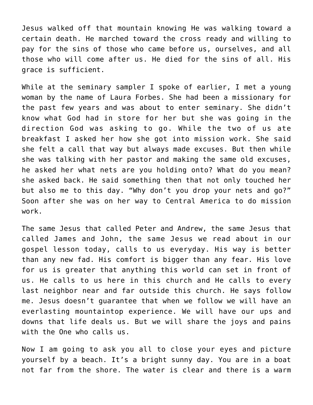Jesus walked off that mountain knowing He was walking toward a certain death. He marched toward the cross ready and willing to pay for the sins of those who came before us, ourselves, and all those who will come after us. He died for the sins of all. His grace is sufficient.

While at the seminary sampler I spoke of earlier, I met a young woman by the name of Laura Forbes. She had been a missionary for the past few years and was about to enter seminary. She didn't know what God had in store for her but she was going in the direction God was asking to go. While the two of us ate breakfast I asked her how she got into mission work. She said she felt a call that way but always made excuses. But then while she was talking with her pastor and making the same old excuses, he asked her what nets are you holding onto? What do you mean? she asked back. He said something then that not only touched her but also me to this day. "Why don't you drop your nets and go?" Soon after she was on her way to Central America to do mission work.

The same Jesus that called Peter and Andrew, the same Jesus that called James and John, the same Jesus we read about in our gospel lesson today, calls to us everyday. His way is better than any new fad. His comfort is bigger than any fear. His love for us is greater that anything this world can set in front of us. He calls to us here in this church and He calls to every last neighbor near and far outside this church. He says follow me. Jesus doesn't guarantee that when we follow we will have an everlasting mountaintop experience. We will have our ups and downs that life deals us. But we will share the joys and pains with the One who calls us.

Now I am going to ask you all to close your eyes and picture yourself by a beach. It's a bright sunny day. You are in a boat not far from the shore. The water is clear and there is a warm